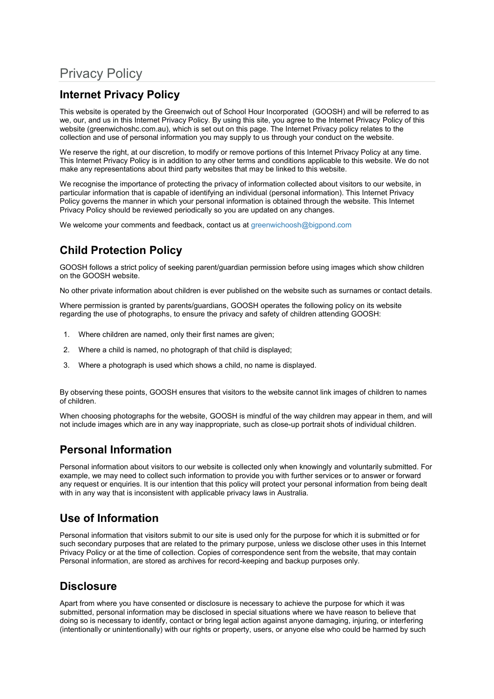# Privacy Policy

## **Internet Privacy Policy**

This website is operated by the Greenwich out of School Hour Incorporated (GOOSH) and will be referred to as we, our, and us in this Internet Privacy Policy. By using this site, you agree to the Internet Privacy Policy of this website (greenwichoshc.com.au), which is set out on this page. The Internet Privacy policy relates to the collection and use of personal information you may supply to us through your conduct on the website.

We reserve the right, at our discretion, to modify or remove portions of this Internet Privacy Policy at any time. This Internet Privacy Policy is in addition to any other terms and conditions applicable to this website. We do not make any representations about third party websites that may be linked to this website.

We recognise the importance of protecting the privacy of information collected about visitors to our website, in particular information that is capable of identifying an individual (personal information). This Internet Privacy Policy governs the manner in which your personal information is obtained through the website. This Internet Privacy Policy should be reviewed periodically so you are updated on any changes.

We welcome your comments and feedback, contact us a[t greenwichoosh@bigpond.com](mailto:greenwichoosh@bigpond.com)

## **Child Protection Policy**

GOOSH follows a strict policy of seeking parent/guardian permission before using images which show children on the GOOSH website.

No other private information about children is ever published on the website such as surnames or contact details.

Where permission is granted by parents/guardians, GOOSH operates the following policy on its website regarding the use of photographs, to ensure the privacy and safety of children attending GOOSH:

- 1. Where children are named, only their first names are given;
- 2. Where a child is named, no photograph of that child is displayed;
- 3. Where a photograph is used which shows a child, no name is displayed.

By observing these points, GOOSH ensures that visitors to the website cannot link images of children to names of children.

When choosing photographs for the website, GOOSH is mindful of the way children may appear in them, and will not include images which are in any way inappropriate, such as close-up portrait shots of individual children.

#### **Personal Information**

Personal information about visitors to our website is collected only when knowingly and voluntarily submitted. For example, we may need to collect such information to provide you with further services or to answer or forward any request or enquiries. It is our intention that this policy will protect your personal information from being dealt with in any way that is inconsistent with applicable privacy laws in Australia.

#### **Use of Information**

Personal information that visitors submit to our site is used only for the purpose for which it is submitted or for such secondary purposes that are related to the primary purpose, unless we disclose other uses in this Internet Privacy Policy or at the time of collection. Copies of correspondence sent from the website, that may contain Personal information, are stored as archives for record-keeping and backup purposes only.

#### **Disclosure**

Apart from where you have consented or disclosure is necessary to achieve the purpose for which it was submitted, personal information may be disclosed in special situations where we have reason to believe that doing so is necessary to identify, contact or bring legal action against anyone damaging, injuring, or interfering (intentionally or unintentionally) with our rights or property, users, or anyone else who could be harmed by such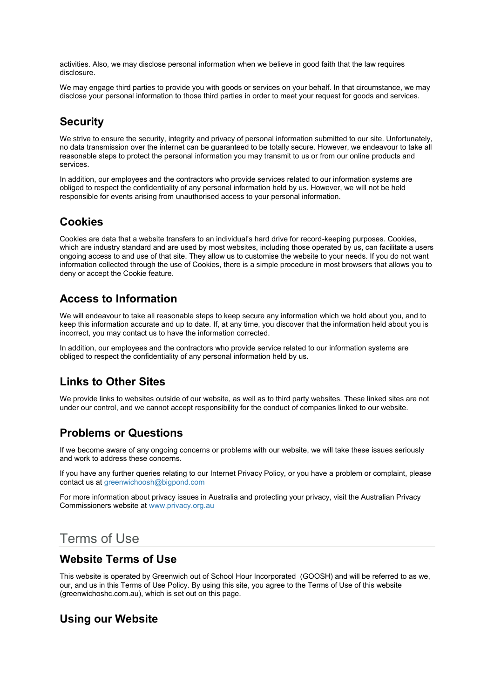activities. Also, we may disclose personal information when we believe in good faith that the law requires disclosure.

We may engage third parties to provide you with goods or services on your behalf. In that circumstance, we may disclose your personal information to those third parties in order to meet your request for goods and services.

#### **Security**

We strive to ensure the security, integrity and privacy of personal information submitted to our site. Unfortunately, no data transmission over the internet can be guaranteed to be totally secure. However, we endeavour to take all reasonable steps to protect the personal information you may transmit to us or from our online products and services.

In addition, our employees and the contractors who provide services related to our information systems are obliged to respect the confidentiality of any personal information held by us. However, we will not be held responsible for events arising from unauthorised access to your personal information.

#### **Cookies**

Cookies are data that a website transfers to an individual's hard drive for record-keeping purposes. Cookies, which are industry standard and are used by most websites, including those operated by us, can facilitate a users ongoing access to and use of that site. They allow us to customise the website to your needs. If you do not want information collected through the use of Cookies, there is a simple procedure in most browsers that allows you to deny or accept the Cookie feature.

## **Access to Information**

We will endeavour to take all reasonable steps to keep secure any information which we hold about you, and to keep this information accurate and up to date. If, at any time, you discover that the information held about you is incorrect, you may contact us to have the information corrected.

In addition, our employees and the contractors who provide service related to our information systems are obliged to respect the confidentiality of any personal information held by us.

## **Links to Other Sites**

We provide links to websites outside of our website, as well as to third party websites. These linked sites are not under our control, and we cannot accept responsibility for the conduct of companies linked to our website.

## **Problems or Questions**

If we become aware of any ongoing concerns or problems with our website, we will take these issues seriously and work to address these concerns.

If you have any further queries relating to our Internet Privacy Policy, or you have a problem or complaint, please contact us a[t greenwichoosh@bigpond.com](mailto:greenwichoosh@bigpond.com)

For more information about privacy issues in Australia and protecting your privacy, visit the Australian Privacy Commissioners website a[t www.privacy.org.au](http://www.privacy.org.au/)

## Terms of Use

#### **Website Terms of Use**

This website is operated by Greenwich out of School Hour Incorporated (GOOSH) and will be referred to as we, our, and us in this Terms of Use Policy. By using this site, you agree to the Terms of Use of this website (greenwichoshc.com.au), which is set out on this page.

#### **Using our Website**